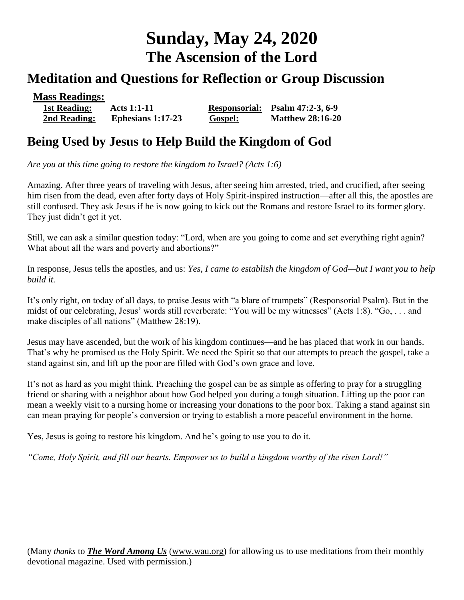# **Sunday, May 24, 2020 The Ascension of the Lord**

## **Meditation and Questions for Reflection or Group Discussion**

| <b>Mass Readings:</b> |                     |         |                                 |
|-----------------------|---------------------|---------|---------------------------------|
| 1st Reading:          | Acts 1:1-11         |         | Responsorial: Psalm 47:2-3, 6-9 |
| 2nd Reading:          | Ephesians $1:17-23$ | Gospel: | <b>Matthew 28:16-20</b>         |

# **Being Used by Jesus to Help Build the Kingdom of God**

*Are you at this time going to restore the kingdom to Israel? (Acts 1:6)*

Amazing. After three years of traveling with Jesus, after seeing him arrested, tried, and crucified, after seeing him risen from the dead, even after forty days of Holy Spirit-inspired instruction—after all this, the apostles are still confused. They ask Jesus if he is now going to kick out the Romans and restore Israel to its former glory. They just didn't get it yet.

Still, we can ask a similar question today: "Lord, when are you going to come and set everything right again? What about all the wars and poverty and abortions?"

In response, Jesus tells the apostles, and us: *Yes, I came to establish the kingdom of God—but I want you to help build it.*

It's only right, on today of all days, to praise Jesus with "a blare of trumpets" (Responsorial Psalm). But in the midst of our celebrating, Jesus' words still reverberate: "You will be my witnesses" (Acts 1:8). "Go, . . . and make disciples of all nations" (Matthew 28:19).

Jesus may have ascended, but the work of his kingdom continues—and he has placed that work in our hands. That's why he promised us the Holy Spirit. We need the Spirit so that our attempts to preach the gospel, take a stand against sin, and lift up the poor are filled with God's own grace and love.

It's not as hard as you might think. Preaching the gospel can be as simple as offering to pray for a struggling friend or sharing with a neighbor about how God helped you during a tough situation. Lifting up the poor can mean a weekly visit to a nursing home or increasing your donations to the poor box. Taking a stand against sin can mean praying for people's conversion or trying to establish a more peaceful environment in the home.

Yes, Jesus is going to restore his kingdom. And he's going to use you to do it.

*"Come, Holy Spirit, and fill our hearts. Empower us to build a kingdom worthy of the risen Lord!"* 

(Many *thanks* to *[The Word Among Us](http://www.wau.org/)* [\(www.wau.org\)](http://www.wau.org/) for allowing us to use meditations from their monthly devotional magazine. Used with permission.)